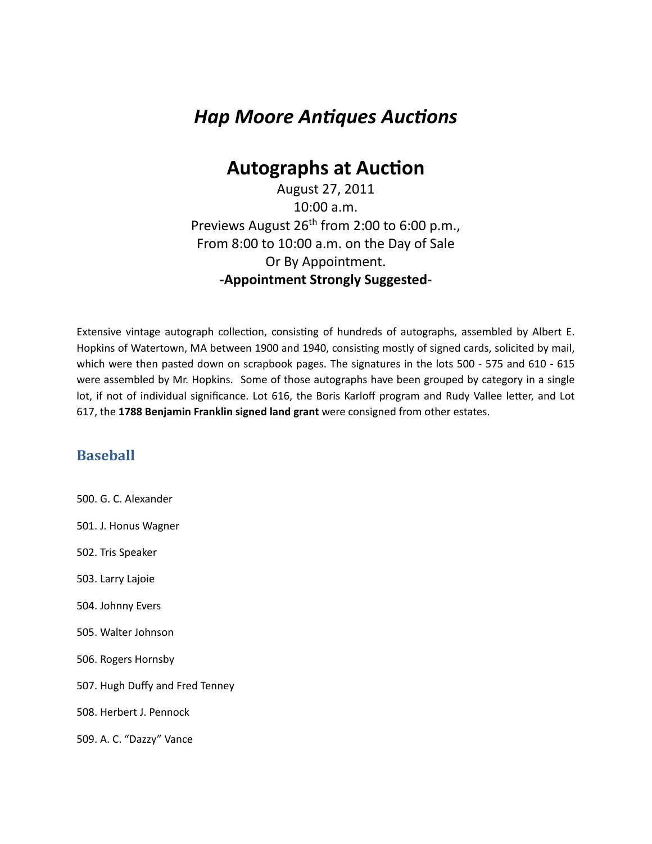# *Hap Moore Antiques Auctions*

## **Autographs at Auction**

August 27, 2011 10:00 a.m. Previews August 26<sup>th</sup> from 2:00 to 6:00 p.m., From 8:00 to 10:00 a.m. on the Day of Sale Or By Appointment. **-Appointment Strongly Suggested-**

Extensive vintage autograph collection, consisting of hundreds of autographs, assembled by Albert E. Hopkins of Watertown, MA between 1900 and 1940, consisting mostly of signed cards, solicited by mail, which were then pasted down on scrapbook pages. The signatures in the lots 500 - 575 and 610 - 615 were assembled by Mr. Hopkins. Some of those autographs have been grouped by category in a single lot, if not of individual significance. Lot 616, the Boris Karloff program and Rudy Vallee letter, and Lot 617, the 1788 Benjamin Franklin signed land grant were consigned from other estates.

#### **Baseball**

500. G. C. Alexander 501. J. Honus Wagner 502. Tris Speaker 503. Larry Lajoie 504. Johnny Evers 505. Walter Johnson 506. Rogers Hornsby 507. Hugh Duffy and Fred Tenney 508. Herbert J. Pennock 509. A. C. "Dazzy" Vance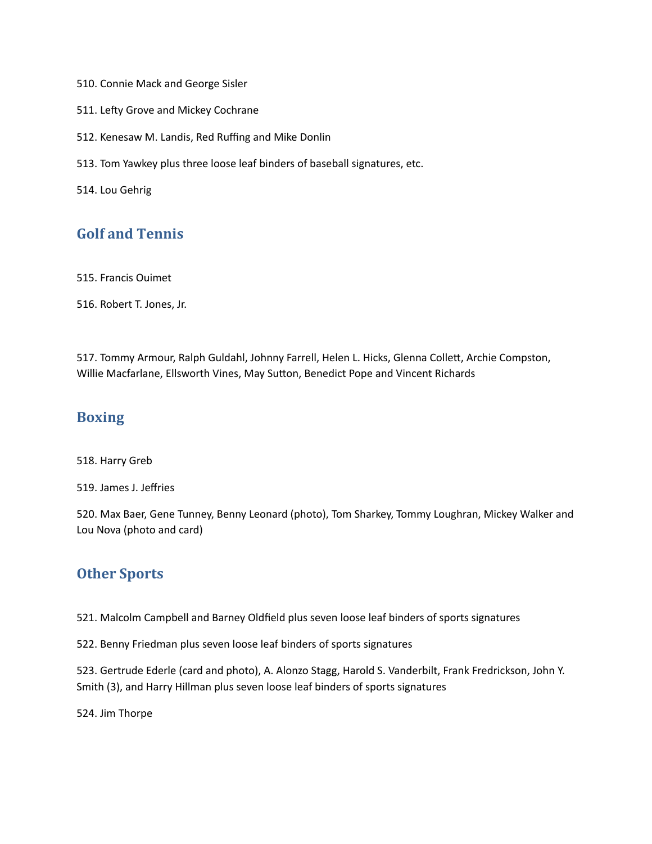510. Connie Mack and George Sisler

511. Lefty Grove and Mickey Cochrane

512. Kenesaw M. Landis, Red Ruffing and Mike Donlin

513. Tom Yawkey plus three loose leaf binders of baseball signatures, etc.

514. Lou Gehrig

## **Golf and Tennis**

515. Francis Ouimet

516. Robert T. Jones, Jr.

517. Tommy Armour, Ralph Guldahl, Johnny Farrell, Helen L. Hicks, Glenna Collett, Archie Compston, Willie Macfarlane, Ellsworth Vines, May Sutton, Benedict Pope and Vincent Richards

#### **Boxing**

518. Harry Greb

519. James J. Jeffries

520. Max Baer, Gene Tunney, Benny Leonard (photo), Tom Sharkey, Tommy Loughran, Mickey Walker and Lou Nova (photo and card)

### **Other Sports**

521. Malcolm Campbell and Barney Oldfield plus seven loose leaf binders of sports signatures

522. Benny Friedman plus seven loose leaf binders of sports signatures

523. Gertrude Ederle (card and photo), A. Alonzo Stagg, Harold S. Vanderbilt, Frank Fredrickson, John Y. Smith (3), and Harry Hillman plus seven loose leaf binders of sports signatures

524. Jim Thorpe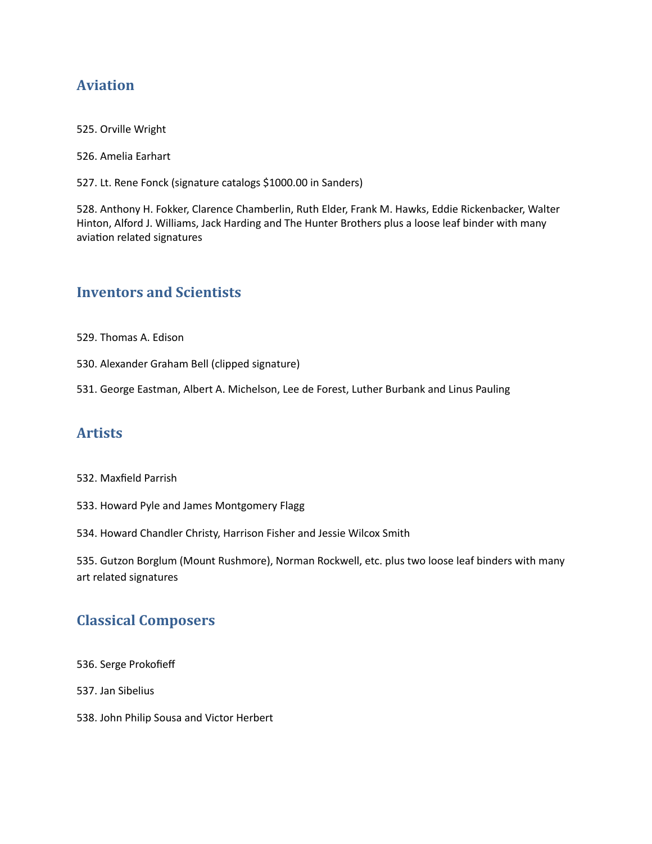## **Aviation**

- 525. Orville Wright
- 526. Amelia Earhart
- 527. Lt. Rene Fonck (signature catalogs \$1000.00 in Sanders)

528. Anthony H. Fokker, Clarence Chamberlin, Ruth Elder, Frank M. Hawks, Eddie Rickenbacker, Walter Hinton, Alford J. Williams, Jack Harding and The Hunter Brothers plus a loose leaf binder with many aviation related signatures

## **Inventors and Scientists**

- 529. Thomas A. Edison
- 530. Alexander Graham Bell (clipped signature)
- 531. George Eastman, Albert A. Michelson, Lee de Forest, Luther Burbank and Linus Pauling

## **Artists**

#### 532. Maxfield Parrish

- 533. Howard Pyle and James Montgomery Flagg
- 534. Howard Chandler Christy, Harrison Fisher and Jessie Wilcox Smith

535. Gutzon Borglum (Mount Rushmore), Norman Rockwell, etc. plus two loose leaf binders with many art related signatures

## **Classical Composers**

- 536. Serge Prokofieff
- 537. Jan Sibelius
- 538. John Philip Sousa and Victor Herbert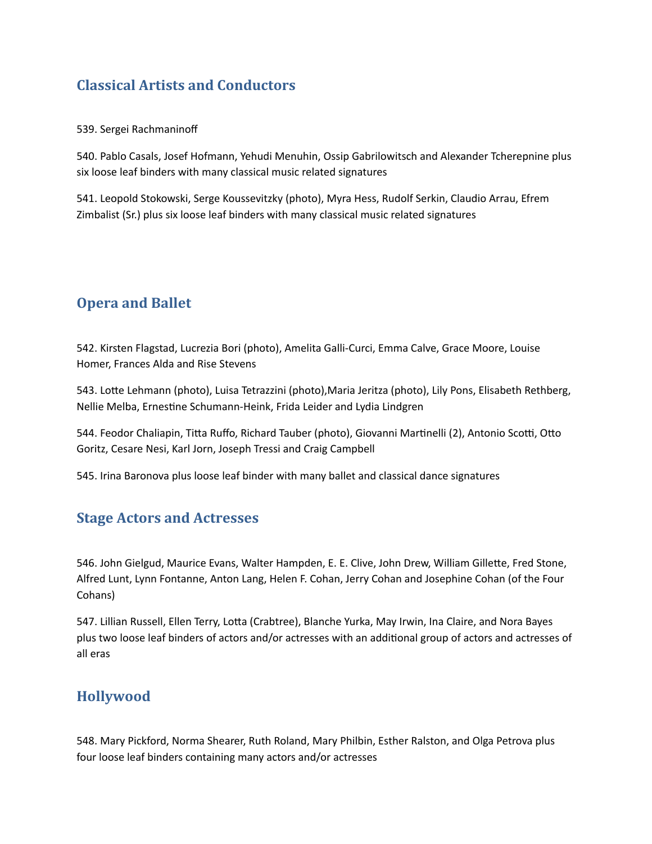## **Classical Artists and Conductors**

539. Sergei Rachmaninoff

540. Pablo Casals, Josef Hofmann, Yehudi Menuhin, Ossip Gabrilowitsch and Alexander Tcherepnine plus six loose leaf binders with many classical music related signatures

541. Leopold Stokowski, Serge Koussevitzky (photo), Myra Hess, Rudolf Serkin, Claudio Arrau, Efrem Zimbalist (Sr.) plus six loose leaf binders with many classical music related signatures

## **Opera and Ballet**

542. Kirsten Flagstad, Lucrezia Bori (photo), Amelita Galli-Curci, Emma Calve, Grace Moore, Louise Homer, Frances Alda and Rise Stevens

543. Lotte Lehmann (photo), Luisa Tetrazzini (photo), Maria Jeritza (photo), Lily Pons, Elisabeth Rethberg, Nellie Melba, Ernestine Schumann-Heink, Frida Leider and Lydia Lindgren

544. Feodor Chaliapin, Titta Ruffo, Richard Tauber (photo), Giovanni Martinelli (2), Antonio Scotti, Otto Goritz, Cesare Nesi, Karl Jorn, Joseph Tressi and Craig Campbell

545. Irina Baronova plus loose leaf binder with many ballet and classical dance signatures

## **Stage Actors and Actresses**

546. John Gielgud, Maurice Evans, Walter Hampden, E. E. Clive, John Drew, William Gillette, Fred Stone, Alfred Lunt, Lynn Fontanne, Anton Lang, Helen F. Cohan, Jerry Cohan and Josephine Cohan (of the Four Cohans)

547. Lillian Russell, Ellen Terry, Lotta (Crabtree), Blanche Yurka, May Irwin, Ina Claire, and Nora Bayes plus two loose leaf binders of actors and/or actresses with an additional group of actors and actresses of all eras

## **Hollywood**

548. Mary Pickford, Norma Shearer, Ruth Roland, Mary Philbin, Esther Ralston, and Olga Petrova plus four loose leaf binders containing many actors and/or actresses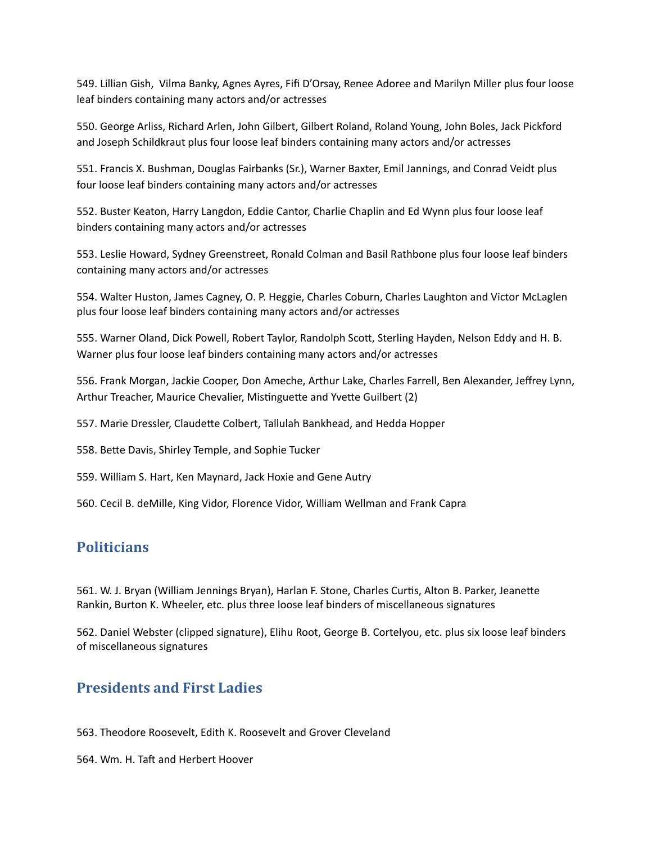549. Lillian Gish, Vilma Banky, Agnes Ayres, Fifi D'Orsay, Renee Adoree and Marilyn Miller plus four loose leaf binders containing many actors and/or actresses

550. George Arliss, Richard Arlen, John Gilbert, Gilbert Roland, Roland Young, John Boles, Jack Pickford and Joseph Schildkraut plus four loose leaf binders containing many actors and/or actresses

551. Francis X. Bushman, Douglas Fairbanks (Sr.), Warner Baxter, Emil Jannings, and Conrad Veidt plus four loose leaf binders containing many actors and/or actresses

552. Buster Keaton, Harry Langdon, Eddie Cantor, Charlie Chaplin and Ed Wynn plus four loose leaf binders containing many actors and/or actresses

553. Leslie Howard, Sydney Greenstreet, Ronald Colman and Basil Rathbone plus four loose leaf binders containing many actors and/or actresses

554. Walter Huston, James Cagney, O. P. Heggie, Charles Coburn, Charles Laughton and Victor McLaglen plus four loose leaf binders containing many actors and/or actresses

555. Warner Oland, Dick Powell, Robert Taylor, Randolph Scott, Sterling Hayden, Nelson Eddy and H. B. Warner plus four loose leaf binders containing many actors and/or actresses

556. Frank Morgan, Jackie Cooper, Don Ameche, Arthur Lake, Charles Farrell, Ben Alexander, Jeffrey Lynn, Arthur Treacher, Maurice Chevalier, Mistinguette and Yvette Guilbert (2)

557. Marie Dressler, Claudette Colbert, Tallulah Bankhead, and Hedda Hopper

558. Bette Davis, Shirley Temple, and Sophie Tucker

559. William S. Hart, Ken Maynard, Jack Hoxie and Gene Autry

560. Cecil B. deMille, King Vidor, Florence Vidor, William Wellman and Frank Capra

## **Politicians**

561. W. J. Bryan (William Jennings Bryan), Harlan F. Stone, Charles Curtis, Alton B. Parker, Jeanette Rankin, Burton K. Wheeler, etc. plus three loose leaf binders of miscellaneous signatures

562. Daniel Webster (clipped signature), Elihu Root, George B. Cortelyou, etc. plus six loose leaf binders of miscellaneous signatures

## **Presidents and First Ladies**

563. Theodore Roosevelt, Edith K. Roosevelt and Grover Cleveland

564. Wm. H. Taft and Herbert Hoover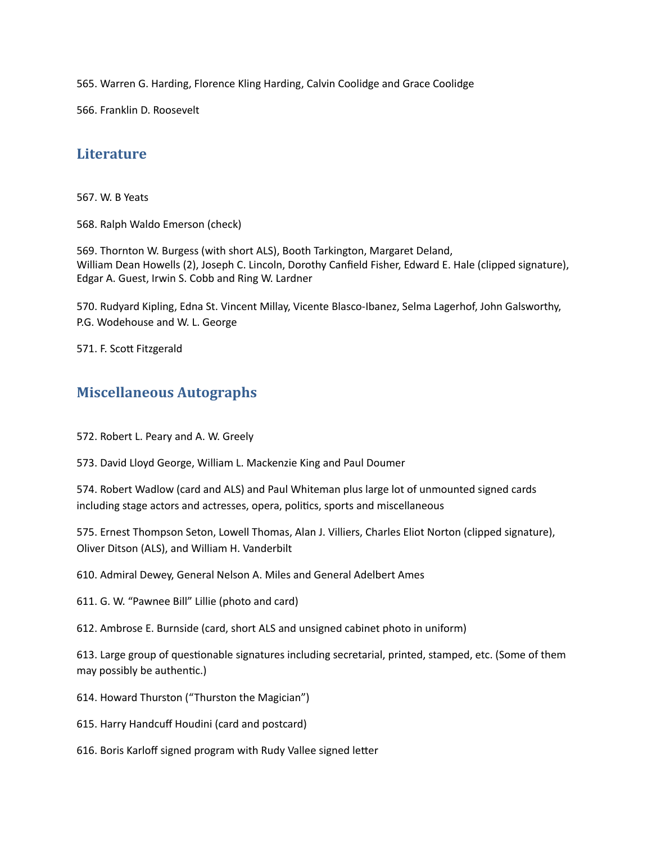565. Warren G. Harding, Florence Kling Harding, Calvin Coolidge and Grace Coolidge

566. Franklin D. Roosevelt

### **Literature**

567. W. B Yeats

568. Ralph Waldo Emerson (check)

569. Thornton W. Burgess (with short ALS), Booth Tarkington, Margaret Deland, William Dean Howells (2), Joseph C. Lincoln, Dorothy Canfield Fisher, Edward E. Hale (clipped signature), Edgar A. Guest, Irwin S. Cobb and Ring W. Lardner

570. Rudyard Kipling, Edna St. Vincent Millay, Vicente Blasco-Ibanez, Selma Lagerhof, John Galsworthy, P.G. Wodehouse and W. L. George

571. F. Scott Fitzgerald

### **Miscellaneous Autographs**

572. Robert L. Peary and A. W. Greely

573. David Lloyd George, William L. Mackenzie King and Paul Doumer

574. Robert Wadlow (card and ALS) and Paul Whiteman plus large lot of unmounted signed cards including stage actors and actresses, opera, politics, sports and miscellaneous

575. Ernest Thompson Seton, Lowell Thomas, Alan J. Villiers, Charles Eliot Norton (clipped signature), Oliver Ditson (ALS), and William H. Vanderbilt

610. Admiral Dewey, General Nelson A. Miles and General Adelbert Ames

611. G. W. "Pawnee Bill" Lillie (photo and card)

612. Ambrose E. Burnside (card, short ALS and unsigned cabinet photo in uniform)

613. Large group of questionable signatures including secretarial, printed, stamped, etc. (Some of them may possibly be authentic.)

614. Howard Thurston ("Thurston the Magician")

615. Harry Handcuff Houdini (card and postcard)

616. Boris Karloff signed program with Rudy Vallee signed letter